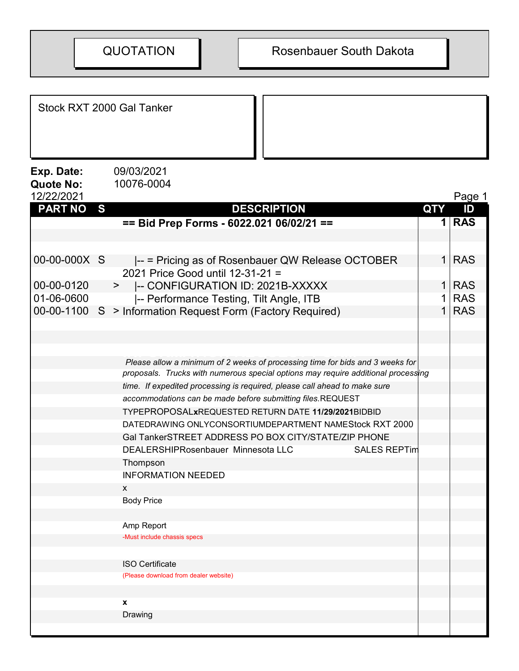Stock RXT 2000 Gal Tanker

**Exp. Date:** 09/03/2021<br>Quote No: 10076-0004 Quote No:

| 12/22/2021     |   |                                                                                   |                | Page 1     |  |
|----------------|---|-----------------------------------------------------------------------------------|----------------|------------|--|
| <b>PART NO</b> | S | <b>DESCRIPTION</b>                                                                | <b>QTY</b>     | ID         |  |
|                |   | == Bid Prep Forms - 6022.021 06/02/21 ==                                          | $\mathbf 1$    | <b>RAS</b> |  |
|                |   |                                                                                   |                |            |  |
|                |   |                                                                                   |                |            |  |
| 00-00-000X S   |   | $\left  \cdot \right $ = Pricing as of Rosenbauer QW Release OCTOBER              | 1 <sup>1</sup> | <b>RAS</b> |  |
|                |   | 2021 Price Good until 12-31-21 =                                                  |                |            |  |
| 00-00-0120     |   | -- CONFIGURATION ID: 2021B-XXXXX<br>$>$ $\sim$                                    | 1 <sup>1</sup> | <b>RAS</b> |  |
| 01-06-0600     |   | -- Performance Testing, Tilt Angle, ITB                                           | 1 <sup>1</sup> | <b>RAS</b> |  |
|                |   | 00-00-1100 S > Information Request Form (Factory Required)                        | 1 <sup>1</sup> | <b>RAS</b> |  |
|                |   |                                                                                   |                |            |  |
|                |   |                                                                                   |                |            |  |
|                |   |                                                                                   |                |            |  |
|                |   | Please allow a minimum of 2 weeks of processing time for bids and 3 weeks for     |                |            |  |
|                |   | proposals. Trucks with numerous special options may require additional processing |                |            |  |
|                |   | time. If expedited processing is required, please call ahead to make sure         |                |            |  |
|                |   | accommodations can be made before submitting files.REQUEST                        |                |            |  |
|                |   | TYPEPROPOSALxREQUESTED RETURN DATE 11/29/2021BIDBID                               |                |            |  |
|                |   | DATEDRAWING ONLYCONSORTIUMDEPARTMENT NAMEStock RXT 2000                           |                |            |  |
|                |   | Gal TankerSTREET ADDRESS PO BOX CITY/STATE/ZIP PHONE                              |                |            |  |
|                |   | DEALERSHIPRosenbauer Minnesota LLC<br><b>SALES REPTim</b>                         |                |            |  |
|                |   | Thompson                                                                          |                |            |  |
|                |   | <b>INFORMATION NEEDED</b>                                                         |                |            |  |
|                |   | X                                                                                 |                |            |  |
|                |   | <b>Body Price</b>                                                                 |                |            |  |
|                |   |                                                                                   |                |            |  |
|                |   | Amp Report                                                                        |                |            |  |
|                |   | -Must include chassis specs                                                       |                |            |  |
|                |   |                                                                                   |                |            |  |
|                |   | <b>ISO Certificate</b>                                                            |                |            |  |
|                |   | (Please download from dealer website)                                             |                |            |  |
|                |   |                                                                                   |                |            |  |
|                |   | X                                                                                 |                |            |  |
|                |   | Drawing                                                                           |                |            |  |
|                |   |                                                                                   |                |            |  |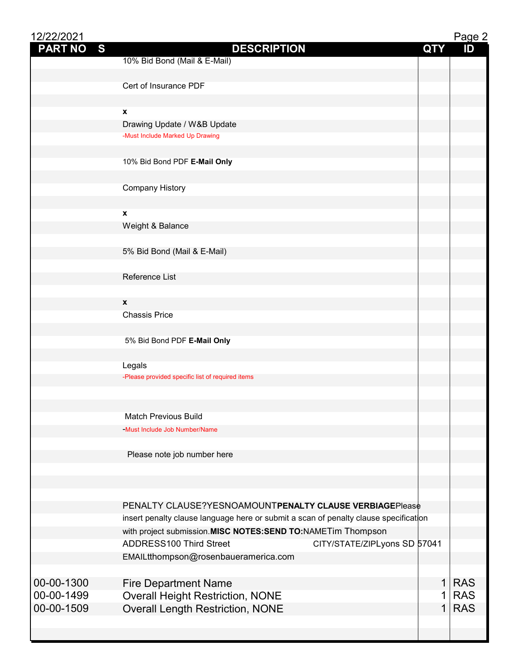| 12/22/2021     |                                                                                      |              | Page 2     |
|----------------|--------------------------------------------------------------------------------------|--------------|------------|
| <b>PART NO</b> | S<br><b>DESCRIPTION</b>                                                              | <b>QTY</b>   | ID         |
|                | 10% Bid Bond (Mail & E-Mail)                                                         |              |            |
|                | Cert of Insurance PDF                                                                |              |            |
|                |                                                                                      |              |            |
|                | X                                                                                    |              |            |
|                | Drawing Update / W&B Update                                                          |              |            |
|                | -Must Include Marked Up Drawing                                                      |              |            |
|                |                                                                                      |              |            |
|                | 10% Bid Bond PDF E-Mail Only                                                         |              |            |
|                |                                                                                      |              |            |
|                | <b>Company History</b>                                                               |              |            |
|                |                                                                                      |              |            |
|                | X                                                                                    |              |            |
|                | Weight & Balance                                                                     |              |            |
|                |                                                                                      |              |            |
|                | 5% Bid Bond (Mail & E-Mail)                                                          |              |            |
|                | Reference List                                                                       |              |            |
|                |                                                                                      |              |            |
|                | X                                                                                    |              |            |
|                | <b>Chassis Price</b>                                                                 |              |            |
|                |                                                                                      |              |            |
|                | 5% Bid Bond PDF E-Mail Only                                                          |              |            |
|                |                                                                                      |              |            |
|                | Legals                                                                               |              |            |
|                | -Please provided specific list of required items                                     |              |            |
|                |                                                                                      |              |            |
|                |                                                                                      |              |            |
|                | <b>Match Previous Build</b>                                                          |              |            |
|                | -Must Include Job Number/Name                                                        |              |            |
|                | Please note job number here                                                          |              |            |
|                |                                                                                      |              |            |
|                |                                                                                      |              |            |
|                |                                                                                      |              |            |
|                | PENALTY CLAUSE?YESNOAMOUNTPENALTY CLAUSE VERBIAGEPlease                              |              |            |
|                | insert penalty clause language here or submit a scan of penalty clause specification |              |            |
|                | with project submission. MISC NOTES: SEND TO: NAMETim Thompson                       |              |            |
|                | <b>ADDRESS100 Third Street</b><br>CITY/STATE/ZIPLyons SD 57041                       |              |            |
|                | EMAILtthompson@rosenbaueramerica.com                                                 |              |            |
|                |                                                                                      |              |            |
| 00-00-1300     | <b>Fire Department Name</b>                                                          | $\mathbf{1}$ | <b>RAS</b> |
| 00-00-1499     | <b>Overall Height Restriction, NONE</b>                                              | 1            | <b>RAS</b> |
| 00-00-1509     | <b>Overall Length Restriction, NONE</b>                                              | 1            | <b>RAS</b> |
|                |                                                                                      |              |            |
|                |                                                                                      |              |            |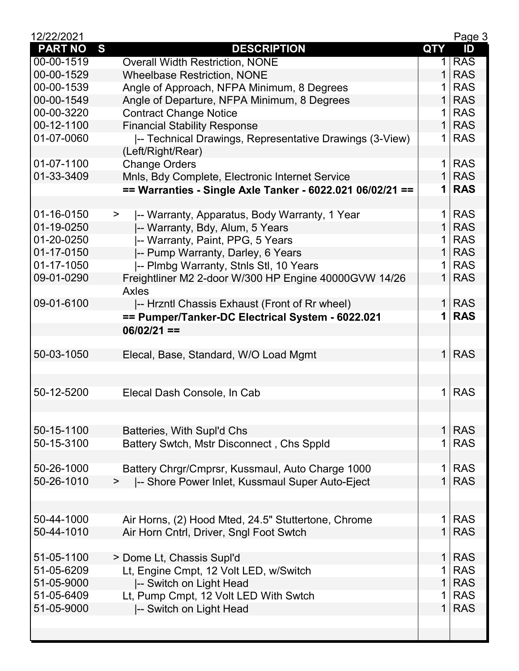| 12/22/2021     |                                                           |                | Page 3     |
|----------------|-----------------------------------------------------------|----------------|------------|
| <b>PART NO</b> | S<br><b>DESCRIPTION</b>                                   | <b>QTY</b>     | ID         |
| 00-00-1519     | <b>Overall Width Restriction, NONE</b>                    | 1              | <b>RAS</b> |
| 00-00-1529     | <b>Wheelbase Restriction, NONE</b>                        | 1              | <b>RAS</b> |
| 00-00-1539     | Angle of Approach, NFPA Minimum, 8 Degrees                | 1 <sup>1</sup> | <b>RAS</b> |
| 00-00-1549     | Angle of Departure, NFPA Minimum, 8 Degrees               | $\mathbf{1}$   | <b>RAS</b> |
| 00-00-3220     | <b>Contract Change Notice</b>                             | $\mathbf 1$    | <b>RAS</b> |
| 00-12-1100     | <b>Financial Stability Response</b>                       | 1 <sup>1</sup> | <b>RAS</b> |
| 01-07-0060     | -- Technical Drawings, Representative Drawings (3-View)   |                | $1$ RAS    |
|                | (Left/Right/Rear)                                         |                |            |
| 01-07-1100     | <b>Change Orders</b>                                      | 1 <sup>1</sup> | <b>RAS</b> |
| 01-33-3409     | Mnls, Bdy Complete, Electronic Internet Service           | $\mathbf{1}$   | <b>RAS</b> |
|                | == Warranties - Single Axle Tanker - 6022.021 06/02/21 == |                | $1$ RAS    |
|                |                                                           |                |            |
| 01-16-0150     | -- Warranty, Apparatus, Body Warranty, 1 Year<br>$\geq$   | 1 <sup>1</sup> | <b>RAS</b> |
| 01-19-0250     | -- Warranty, Bdy, Alum, 5 Years                           | 1 <sup>1</sup> | <b>RAS</b> |
| 01-20-0250     | -- Warranty, Paint, PPG, 5 Years                          | 1 <sup>1</sup> | <b>RAS</b> |
| 01-17-0150     | -- Pump Warranty, Darley, 6 Years                         | 1 <sup>1</sup> | <b>RAS</b> |
| 01-17-1050     | -- Plmbg Warranty, Stnls Stl, 10 Years                    | $\mathbf 1$    | <b>RAS</b> |
| 09-01-0290     | Freightliner M2 2-door W/300 HP Engine 40000GVW 14/26     | 1 <sup>1</sup> | <b>RAS</b> |
|                | Axles                                                     |                |            |
| 09-01-6100     | -- Hrzntl Chassis Exhaust (Front of Rr wheel)             | 1 <sup>1</sup> | <b>RAS</b> |
|                | == Pumper/Tanker-DC Electrical System - 6022.021          |                | $1$ RAS    |
|                | $06/02/21 ==$                                             |                |            |
|                |                                                           |                |            |
| 50-03-1050     | Elecal, Base, Standard, W/O Load Mgmt                     | 1 <sup>1</sup> | <b>RAS</b> |
|                |                                                           |                |            |
|                |                                                           |                |            |
| 50-12-5200     | Elecal Dash Console, In Cab                               | $1 \mid$       | <b>RAS</b> |
|                |                                                           |                |            |
|                |                                                           |                |            |
| 50-15-1100     | Batteries, With Supl'd Chs                                | 1 <sup>1</sup> | <b>RAS</b> |
| 50-15-3100     | Battery Swtch, Mstr Disconnect, Chs Sppld                 |                | 1 RAS      |
|                |                                                           |                |            |
| 50-26-1000     | Battery Chrgr/Cmprsr, Kussmaul, Auto Charge 1000          | 1 <sup>1</sup> | <b>RAS</b> |
| 50-26-1010     | -- Shore Power Inlet, Kussmaul Super Auto-Eject<br>>      | 1 <sup>1</sup> | <b>RAS</b> |
|                |                                                           |                |            |
|                |                                                           |                |            |
| 50-44-1000     | Air Horns, (2) Hood Mted, 24.5" Stuttertone, Chrome       | 1 <sup>1</sup> | <b>RAS</b> |
| 50-44-1010     | Air Horn Cntrl, Driver, Sngl Foot Swtch                   | 1 <sup>1</sup> | <b>RAS</b> |
|                |                                                           |                |            |
| 51-05-1100     | > Dome Lt, Chassis Supl'd                                 | $\mathbf{1}$   | <b>RAS</b> |
| 51-05-6209     | Lt, Engine Cmpt, 12 Volt LED, w/Switch                    | $\mathbf 1$    | <b>RAS</b> |
| 51-05-9000     | -- Switch on Light Head                                   | 1 <sup>1</sup> | <b>RAS</b> |
| 51-05-6409     | Lt, Pump Cmpt, 12 Volt LED With Swtch                     | $\mathbf 1$    | <b>RAS</b> |
| 51-05-9000     | -- Switch on Light Head                                   | 1 <sup>1</sup> | <b>RAS</b> |
|                |                                                           |                |            |
|                |                                                           |                |            |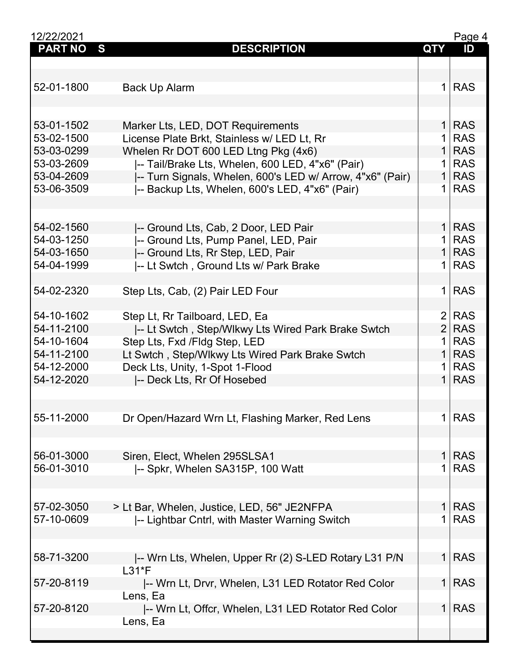| 12/22/2021               |                                                                            |                                | Page 4                   |
|--------------------------|----------------------------------------------------------------------------|--------------------------------|--------------------------|
| <b>PART NO</b>           | S<br><b>DESCRIPTION</b>                                                    | <b>QTY</b>                     | ID                       |
|                          |                                                                            |                                |                          |
|                          |                                                                            |                                |                          |
| 52-01-1800               | Back Up Alarm                                                              |                                | $1$ RAS                  |
|                          |                                                                            |                                |                          |
| 53-01-1502               | Marker Lts, LED, DOT Requirements                                          | 1 <sup>1</sup>                 | <b>RAS</b>               |
| 53-02-1500               | License Plate Brkt, Stainless w/ LED Lt, Rr                                |                                | <b>RAS</b>               |
| 53-03-0299               | Whelen Rr DOT 600 LED Ltng Pkg (4x6)                                       | 1 <sup>1</sup>                 | <b>RAS</b>               |
| 53-03-2609               | -- Tail/Brake Lts, Whelen, 600 LED, 4"x6" (Pair)                           |                                | <b>RAS</b>               |
| 53-04-2609               | -- Turn Signals, Whelen, 600's LED w/ Arrow, 4"x6" (Pair)                  | $\mathbf{1}$                   | <b>RAS</b>               |
| 53-06-3509               | -- Backup Lts, Whelen, 600's LED, 4"x6" (Pair)                             | 1                              | <b>RAS</b>               |
|                          |                                                                            |                                |                          |
|                          |                                                                            |                                |                          |
| 54-02-1560               | -- Ground Lts, Cab, 2 Door, LED Pair                                       | 1 <sup>1</sup>                 | <b>RAS</b>               |
| 54-03-1250               | -- Ground Lts, Pump Panel, LED, Pair                                       | $\mathbf{1}$<br>1 <sup>1</sup> | <b>RAS</b><br><b>RAS</b> |
| 54-03-1650<br>54-04-1999 | -- Ground Lts, Rr Step, LED, Pair<br>-- Lt Swtch, Ground Lts w/ Park Brake | 1 <sup>1</sup>                 | <b>RAS</b>               |
|                          |                                                                            |                                |                          |
| 54-02-2320               | Step Lts, Cab, (2) Pair LED Four                                           | 1 <sup>1</sup>                 | <b>RAS</b>               |
|                          |                                                                            |                                |                          |
| 54-10-1602               | Step Lt, Rr Tailboard, LED, Ea                                             | $\overline{2}$                 | <b>RAS</b>               |
| 54-11-2100               | -- Lt Swtch, Step/Wlkwy Lts Wired Park Brake Swtch                         | 2 <sup>1</sup>                 | <b>RAS</b>               |
| 54-10-1604               | Step Lts, Fxd /Fldg Step, LED                                              | $\mathbf 1$                    | <b>RAS</b>               |
| 54-11-2100               | Lt Swtch, Step/Wlkwy Lts Wired Park Brake Swtch                            | 1 <sup>1</sup>                 | <b>RAS</b>               |
| 54-12-2000               | Deck Lts, Unity, 1-Spot 1-Flood                                            | $\mathbf 1$                    | <b>RAS</b>               |
| 54-12-2020               | -- Deck Lts, Rr Of Hosebed                                                 | 1 <sup>1</sup>                 | <b>RAS</b>               |
|                          |                                                                            |                                |                          |
| 55-11-2000               | Dr Open/Hazard Wrn Lt, Flashing Marker, Red Lens                           | 1 <sup>1</sup>                 | <b>RAS</b>               |
|                          |                                                                            |                                |                          |
|                          |                                                                            |                                |                          |
| 56-01-3000               | Siren, Elect, Whelen 295SLSA1                                              | $\mathbf{1}$                   | <b>RAS</b>               |
| 56-01-3010               | -- Spkr, Whelen SA315P, 100 Watt                                           | 1                              | <b>RAS</b>               |
|                          |                                                                            |                                |                          |
| 57-02-3050               | > Lt Bar, Whelen, Justice, LED, 56" JE2NFPA                                | $\mathbf{1}$                   | <b>RAS</b>               |
| 57-10-0609               | -- Lightbar Cntrl, with Master Warning Switch                              | 1                              | <b>RAS</b>               |
|                          |                                                                            |                                |                          |
|                          |                                                                            |                                |                          |
| 58-71-3200               | -- Wrn Lts, Whelen, Upper Rr (2) S-LED Rotary L31 P/N                      | 1 <sup>1</sup>                 | <b>RAS</b>               |
|                          | $L31*F$                                                                    |                                |                          |
| 57-20-8119               | -- Wrn Lt, Drvr, Whelen, L31 LED Rotator Red Color                         | 1 <sup>1</sup>                 | <b>RAS</b>               |
|                          | Lens, Ea                                                                   |                                |                          |
| 57-20-8120               | -- Wrn Lt, Offcr, Whelen, L31 LED Rotator Red Color                        | 1 <sup>1</sup>                 | <b>RAS</b>               |
|                          | Lens, Ea                                                                   |                                |                          |
|                          |                                                                            |                                |                          |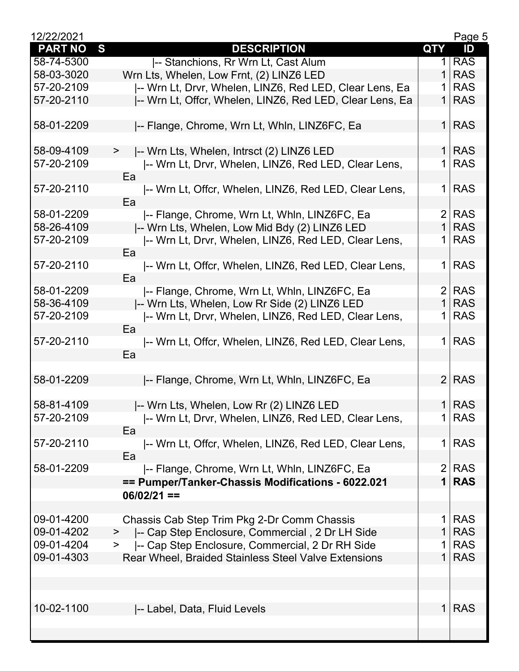| 12/22/2021     |                                                           |                | Page 5     |
|----------------|-----------------------------------------------------------|----------------|------------|
| <b>PART NO</b> | S<br><b>DESCRIPTION</b>                                   | <b>QTY</b>     | ID         |
| 58-74-5300     | -- Stanchions, Rr Wrn Lt, Cast Alum                       | 1              | <b>RAS</b> |
| 58-03-3020     | Wrn Lts, Whelen, Low Frnt, (2) LINZ6 LED                  |                | <b>RAS</b> |
| 57-20-2109     | -- Wrn Lt, Drvr, Whelen, LINZ6, Red LED, Clear Lens, Ea   |                | <b>RAS</b> |
| 57-20-2110     | -- Wrn Lt, Offcr, Whelen, LINZ6, Red LED, Clear Lens, Ea  | $\mathbf 1$    | <b>RAS</b> |
|                |                                                           |                |            |
| 58-01-2209     | -- Flange, Chrome, Wrn Lt, Whin, LINZ6FC, Ea              | 1 <sup>1</sup> | <b>RAS</b> |
| 58-09-4109     | -- Wrn Lts, Whelen, Intrsct (2) LINZ6 LED<br>>            | 1 <sup>1</sup> | <b>RAS</b> |
| 57-20-2109     | -- Wrn Lt, Drvr, Whelen, LINZ6, Red LED, Clear Lens,      | $1 \mid$       | <b>RAS</b> |
|                | Ea                                                        |                |            |
| 57-20-2110     | -- Wrn Lt, Offcr, Whelen, LINZ6, Red LED, Clear Lens,     | 1              | <b>RAS</b> |
|                | Ea                                                        |                |            |
| 58-01-2209     | -- Flange, Chrome, Wrn Lt, Whln, LINZ6FC, Ea              | $\overline{2}$ | <b>RAS</b> |
| 58-26-4109     | -- Wrn Lts, Whelen, Low Mid Bdy (2) LINZ6 LED             | $\mathbf{1}$   | <b>RAS</b> |
| 57-20-2109     | -- Wrn Lt, Drvr, Whelen, LINZ6, Red LED, Clear Lens,      | 1              | <b>RAS</b> |
|                | Ea                                                        |                |            |
| 57-20-2110     |                                                           | 1              | <b>RAS</b> |
|                | -- Wrn Lt, Offcr, Whelen, LINZ6, Red LED, Clear Lens,     |                |            |
|                | Ea                                                        | $\overline{2}$ | <b>RAS</b> |
| 58-01-2209     | -- Flange, Chrome, Wrn Lt, Whln, LINZ6FC, Ea              | $\mathbf 1$    |            |
| 58-36-4109     | -- Wrn Lts, Whelen, Low Rr Side (2) LINZ6 LED             |                | <b>RAS</b> |
| 57-20-2109     | -- Wrn Lt, Drvr, Whelen, LINZ6, Red LED, Clear Lens,      | 1              | <b>RAS</b> |
|                | Ea                                                        |                |            |
| 57-20-2110     | -- Wrn Lt, Offcr, Whelen, LINZ6, Red LED, Clear Lens,     | 1              | <b>RAS</b> |
|                | Ea                                                        |                |            |
|                |                                                           |                |            |
| 58-01-2209     | -- Flange, Chrome, Wrn Lt, Whln, LINZ6FC, Ea              | 2 <sup>1</sup> | <b>RAS</b> |
|                |                                                           |                |            |
| 58-81-4109     | -- Wrn Lts, Whelen, Low Rr (2) LINZ6 LED                  | 1 <sup>1</sup> | <b>RAS</b> |
| 57-20-2109     | -- Wrn Lt, Drvr, Whelen, LINZ6, Red LED, Clear Lens,      | 1 <sup>1</sup> | <b>RAS</b> |
|                | Ea                                                        |                |            |
| 57-20-2110     | -- Wrn Lt, Offcr, Whelen, LINZ6, Red LED, Clear Lens,     | 1              | <b>RAS</b> |
|                | Ea                                                        |                |            |
| 58-01-2209     | -- Flange, Chrome, Wrn Lt, Whln, LINZ6FC, Ea              | $\overline{2}$ | <b>RAS</b> |
|                | == Pumper/Tanker-Chassis Modifications - 6022.021         | $\mathbf 1$    | <b>RAS</b> |
|                | $06/02/21 ==$                                             |                |            |
|                |                                                           |                |            |
| 09-01-4200     | Chassis Cab Step Trim Pkg 2-Dr Comm Chassis               | 1              | <b>RAS</b> |
| 09-01-4202     | -- Cap Step Enclosure, Commercial, 2 Dr LH Side<br>$\geq$ | 1              | <b>RAS</b> |
| 09-01-4204     | -- Cap Step Enclosure, Commercial, 2 Dr RH Side<br>$\,>$  |                | <b>RAS</b> |
| 09-01-4303     | Rear Wheel, Braided Stainless Steel Valve Extensions      | 1              | <b>RAS</b> |
|                |                                                           |                |            |
|                |                                                           |                |            |
|                |                                                           |                |            |
| 10-02-1100     | -- Label, Data, Fluid Levels                              | $\mathbf{1}$   | <b>RAS</b> |
|                |                                                           |                |            |
|                |                                                           |                |            |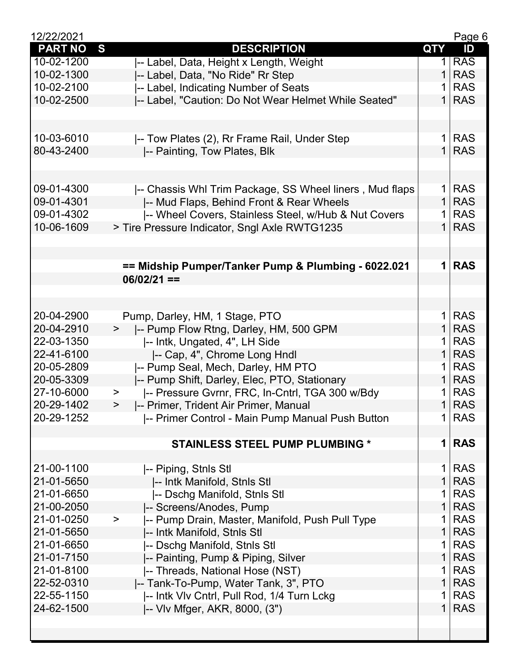| 12/22/2021     |                                                           |                | Page 6     |
|----------------|-----------------------------------------------------------|----------------|------------|
| <b>PART NO</b> | S<br><b>DESCRIPTION</b>                                   | <b>QTY</b>     | ID         |
| 10-02-1200     | -- Label, Data, Height x Length, Weight                   | 1              | <b>RAS</b> |
| 10-02-1300     | -- Label, Data, "No Ride" Rr Step                         | 1              | <b>RAS</b> |
| 10-02-2100     | -- Label, Indicating Number of Seats                      | 1              | <b>RAS</b> |
| 10-02-2500     | -- Label, "Caution: Do Not Wear Helmet While Seated"      | $\mathbf{1}$   | <b>RAS</b> |
|                |                                                           |                |            |
|                |                                                           |                |            |
| 10-03-6010     | -- Tow Plates (2), Rr Frame Rail, Under Step              | 1 <sup>1</sup> | <b>RAS</b> |
| 80-43-2400     | -- Painting, Tow Plates, Blk                              | 1 <sup>1</sup> | <b>RAS</b> |
|                |                                                           |                |            |
|                |                                                           |                |            |
| 09-01-4300     | -- Chassis Whl Trim Package, SS Wheel liners, Mud flaps   | 1 <sup>1</sup> | <b>RAS</b> |
| 09-01-4301     | -- Mud Flaps, Behind Front & Rear Wheels                  | $\mathbf{1}$   | <b>RAS</b> |
| 09-01-4302     | -- Wheel Covers, Stainless Steel, w/Hub & Nut Covers      | 1              | <b>RAS</b> |
| 10-06-1609     | > Tire Pressure Indicator, Sngl Axle RWTG1235             | $\mathbf 1$    | <b>RAS</b> |
|                |                                                           |                |            |
|                |                                                           |                |            |
|                | == Midship Pumper/Tanker Pump & Plumbing - 6022.021       |                | $1$ RAS    |
|                | $06/02/21 ==$                                             |                |            |
|                |                                                           |                |            |
|                |                                                           |                |            |
| 20-04-2900     | Pump, Darley, HM, 1 Stage, PTO                            | 1              | <b>RAS</b> |
| 20-04-2910     | -- Pump Flow Rtng, Darley, HM, 500 GPM<br>>               | $\mathbf{1}$   | <b>RAS</b> |
| 22-03-1350     | -- Intk, Ungated, 4", LH Side                             | 1 <sup>1</sup> | <b>RAS</b> |
| 22-41-6100     | -- Cap, 4", Chrome Long Hndl                              | $\mathbf{1}$   | <b>RAS</b> |
| 20-05-2809     | -- Pump Seal, Mech, Darley, HM PTO                        | 1              | <b>RAS</b> |
| 20-05-3309     | -- Pump Shift, Darley, Elec, PTO, Stationary              | $\mathbf{1}$   | <b>RAS</b> |
| 27-10-6000     | -- Pressure Gvrnr, FRC, In-Cntrl, TGA 300 w/Bdy<br>$\,>$  | 1              | <b>RAS</b> |
| 20-29-1402     | -- Primer, Trident Air Primer, Manual<br>$\,>$            | 1 <sup>1</sup> | <b>RAS</b> |
| 20-29-1252     | -- Primer Control - Main Pump Manual Push Button          | 1 <sup>1</sup> | <b>RAS</b> |
|                |                                                           |                |            |
|                | <b>STAINLESS STEEL PUMP PLUMBING *</b>                    | 1              | <b>RAS</b> |
|                |                                                           |                |            |
| 21-00-1100     | -- Piping, Stnls Stl                                      | 1              | <b>RAS</b> |
| 21-01-5650     | -- Intk Manifold, Stnls Stl                               | $\mathbf{1}$   | <b>RAS</b> |
| 21-01-6650     | -- Dschg Manifold, Stnls Stl                              | 1              | <b>RAS</b> |
| 21-00-2050     | -- Screens/Anodes, Pump                                   | $\mathbf{1}$   | <b>RAS</b> |
| 21-01-0250     | -- Pump Drain, Master, Manifold, Push Pull Type<br>$\, >$ | 1              | <b>RAS</b> |
| 21-01-5650     | -- Intk Manifold, Stnls Stl                               | $\mathbf{1}$   | <b>RAS</b> |
| 21-01-6650     |                                                           | 1              | <b>RAS</b> |
| 21-01-7150     | -- Dschg Manifold, Stnls Stl                              | 1              | <b>RAS</b> |
| 21-01-8100     | -- Painting, Pump & Piping, Silver                        | 1              | <b>RAS</b> |
|                | -- Threads, National Hose (NST)                           |                |            |
| 22-52-0310     | -- Tank-To-Pump, Water Tank, 3", PTO                      | $\mathbf{1}$   | <b>RAS</b> |
| 22-55-1150     | -- Intk VIv Cntrl, Pull Rod, 1/4 Turn Lckg                | 1              | <b>RAS</b> |
| 24-62-1500     | -- VIv Mfger, AKR, 8000, (3")                             | 1              | <b>RAS</b> |
|                |                                                           |                |            |
|                |                                                           |                |            |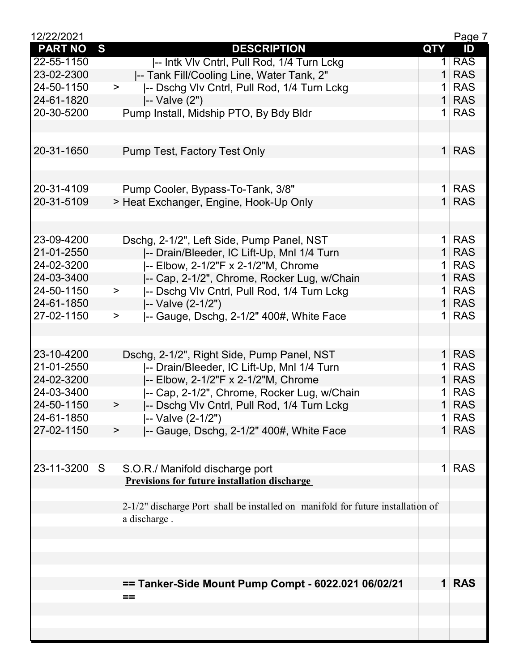| 12/22/2021     |                                                                                 |                | Page 7     |
|----------------|---------------------------------------------------------------------------------|----------------|------------|
| <b>PART NO</b> | S<br><b>DESCRIPTION</b>                                                         | <b>QTY</b>     | ID         |
| 22-55-1150     | -- Intk VIv Cntrl, Pull Rod, 1/4 Turn Lckg                                      | 1 <sup>1</sup> | <b>RAS</b> |
| 23-02-2300     | -- Tank Fill/Cooling Line, Water Tank, 2"                                       | 1              | <b>RAS</b> |
| 24-50-1150     | -- Dschg Vlv Cntrl, Pull Rod, 1/4 Turn Lckg<br>$\geq$                           | 1              | <b>RAS</b> |
| 24-61-1820     | -- Valve (2")                                                                   | 1              | <b>RAS</b> |
| 20-30-5200     | Pump Install, Midship PTO, By Bdy Bldr                                          | $\mathbf 1$    | <b>RAS</b> |
|                |                                                                                 |                |            |
|                |                                                                                 |                |            |
| 20-31-1650     | Pump Test, Factory Test Only                                                    | 1 <sup>1</sup> | <b>RAS</b> |
|                |                                                                                 |                |            |
|                |                                                                                 |                |            |
| 20-31-4109     | Pump Cooler, Bypass-To-Tank, 3/8"                                               |                | $1$ RAS    |
| 20-31-5109     | > Heat Exchanger, Engine, Hook-Up Only                                          | 1 <sup>1</sup> | <b>RAS</b> |
|                |                                                                                 |                |            |
|                |                                                                                 |                |            |
| 23-09-4200     | Dschg, 2-1/2", Left Side, Pump Panel, NST                                       | 1 <sup>1</sup> | <b>RAS</b> |
| 21-01-2550     | -- Drain/Bleeder, IC Lift-Up, Mnl 1/4 Turn                                      | $\mathbf{1}$   | <b>RAS</b> |
| 24-02-3200     | -- Elbow, 2-1/2"F x 2-1/2"M, Chrome                                             | $\mathbf 1$    | <b>RAS</b> |
| 24-03-3400     | -- Cap, 2-1/2", Chrome, Rocker Lug, w/Chain                                     | $\mathbf{1}$   | <b>RAS</b> |
| 24-50-1150     |                                                                                 | 1 <sup>1</sup> | <b>RAS</b> |
|                | -- Dschg VIv Cntrl, Pull Rod, 1/4 Turn Lckg<br>$\,>$                            | $\mathbf{1}$   | <b>RAS</b> |
| 24-61-1850     | -- Valve (2-1/2")                                                               | 1 <sup>1</sup> |            |
| 27-02-1150     | -- Gauge, Dschg, 2-1/2" 400#, White Face<br>$\, >$                              |                | <b>RAS</b> |
|                |                                                                                 |                |            |
|                |                                                                                 |                |            |
| 23-10-4200     | Dschg, 2-1/2", Right Side, Pump Panel, NST                                      | $\mathbf{1}$   | <b>RAS</b> |
| 21-01-2550     | -- Drain/Bleeder, IC Lift-Up, Mnl 1/4 Turn                                      | $\mathbf 1$    | <b>RAS</b> |
| 24-02-3200     | -- Elbow, 2-1/2"F x 2-1/2"M, Chrome                                             | $\mathbf{1}$   | <b>RAS</b> |
| 24-03-3400     | -- Cap, 2-1/2", Chrome, Rocker Lug, w/Chain                                     | 1              | <b>RAS</b> |
| 24-50-1150     | -- Dschg Vlv Cntrl, Pull Rod, 1/4 Turn Lckg<br>>                                | 1 <sup>1</sup> | <b>RAS</b> |
| 24-61-1850     | -- Valve (2-1/2")                                                               | 1              | <b>RAS</b> |
| 27-02-1150     | -- Gauge, Dschg, 2-1/2" 400#, White Face<br>>                                   | 1              | <b>RAS</b> |
|                |                                                                                 |                |            |
|                |                                                                                 |                |            |
| 23-11-3200 S   | S.O.R./ Manifold discharge port                                                 | 1              | <b>RAS</b> |
|                | <b>Previsions for future installation discharge</b>                             |                |            |
|                |                                                                                 |                |            |
|                | 2-1/2" discharge Port shall be installed on manifold for future installation of |                |            |
|                | a discharge.                                                                    |                |            |
|                |                                                                                 |                |            |
|                |                                                                                 |                |            |
|                |                                                                                 |                |            |
|                |                                                                                 |                |            |
|                | == Tanker-Side Mount Pump Compt - 6022.021 06/02/21                             |                | <b>RAS</b> |
|                | $==$                                                                            |                |            |
|                |                                                                                 |                |            |
|                |                                                                                 |                |            |
|                |                                                                                 |                |            |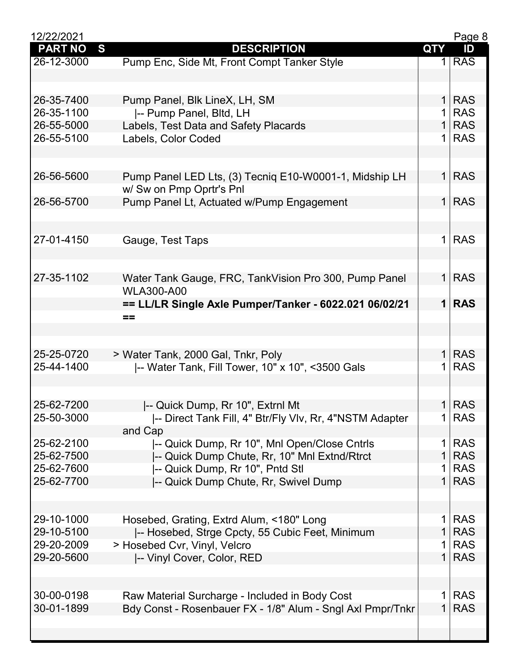| 12/22/2021     |                                                            |                | Page 8     |
|----------------|------------------------------------------------------------|----------------|------------|
| <b>PART NO</b> | S<br><b>DESCRIPTION</b>                                    | <b>QTY</b>     | ID         |
| 26-12-3000     | Pump Enc, Side Mt, Front Compt Tanker Style                |                | $1$ RAS    |
|                |                                                            |                |            |
|                |                                                            |                |            |
| 26-35-7400     | Pump Panel, Blk LineX, LH, SM                              | $\mathbf{1}$   | <b>RAS</b> |
| 26-35-1100     | -- Pump Panel, Bltd, LH                                    | $\mathbf 1$    | <b>RAS</b> |
| 26-55-5000     | Labels, Test Data and Safety Placards                      | 1 <sup>1</sup> | <b>RAS</b> |
| 26-55-5100     | Labels, Color Coded                                        | 1 <sup>1</sup> | <b>RAS</b> |
|                |                                                            |                |            |
|                |                                                            |                |            |
| 26-56-5600     | Pump Panel LED Lts, (3) Tecniq E10-W0001-1, Midship LH     | 1 <sup>1</sup> | <b>RAS</b> |
|                | w/ Sw on Pmp Oprtr's Pnl                                   |                |            |
| 26-56-5700     | Pump Panel Lt, Actuated w/Pump Engagement                  | 1 <sup>1</sup> | <b>RAS</b> |
|                |                                                            |                |            |
|                |                                                            | 1 <sup>1</sup> | <b>RAS</b> |
| 27-01-4150     | Gauge, Test Taps                                           |                |            |
|                |                                                            |                |            |
| 27-35-1102     | Water Tank Gauge, FRC, TankVision Pro 300, Pump Panel      | 1 <sup>1</sup> | <b>RAS</b> |
|                | <b>WLA300-A00</b>                                          |                |            |
|                | == LL/LR Single Axle Pumper/Tanker - 6022.021 06/02/21     | $\mathbf 1$    | <b>RAS</b> |
|                | $==$                                                       |                |            |
|                |                                                            |                |            |
|                |                                                            |                |            |
| 25-25-0720     | > Water Tank, 2000 Gal, Tnkr, Poly                         | $\mathbf{1}$   | <b>RAS</b> |
| 25-44-1400     | -- Water Tank, Fill Tower, 10" x 10", <3500 Gals           | $\mathbf 1$    | <b>RAS</b> |
|                |                                                            |                |            |
|                |                                                            |                |            |
| 25-62-7200     | -- Quick Dump, Rr 10", Extrnl Mt                           |                | $1$ RAS    |
| 25-50-3000     | -- Direct Tank Fill, 4" Btr/Fly Vlv, Rr, 4"NSTM Adapter    | 1              | <b>RAS</b> |
|                | and Cap                                                    |                |            |
| 25-62-2100     | -- Quick Dump, Rr 10", Mnl Open/Close Cntrls               | 1              | <b>RAS</b> |
| 25-62-7500     | -- Quick Dump Chute, Rr, 10" Mnl Extnd/Rtrct               | 1              | <b>RAS</b> |
| 25-62-7600     | -- Quick Dump, Rr 10", Pntd Stl                            | 1              | <b>RAS</b> |
| 25-62-7700     | -- Quick Dump Chute, Rr, Swivel Dump                       | $\mathbf{1}$   | <b>RAS</b> |
|                |                                                            |                |            |
| 29-10-1000     |                                                            | $\mathbf 1$    | <b>RAS</b> |
| 29-10-5100     | Hosebed, Grating, Extrd Alum, <180" Long                   | 1              | <b>RAS</b> |
| 29-20-2009     | -- Hosebed, Strge Cpcty, 55 Cubic Feet, Minimum            | 1              | <b>RAS</b> |
| 29-20-5600     | > Hosebed Cvr, Vinyl, Velcro                               | $\mathbf{1}$   | <b>RAS</b> |
|                | -- Vinyl Cover, Color, RED                                 |                |            |
|                |                                                            |                |            |
| 30-00-0198     | Raw Material Surcharge - Included in Body Cost             | 1              | <b>RAS</b> |
| 30-01-1899     | Bdy Const - Rosenbauer FX - 1/8" Alum - Sngl Axl Pmpr/Tnkr | $\mathbf{1}$   | <b>RAS</b> |
|                |                                                            |                |            |
|                |                                                            |                |            |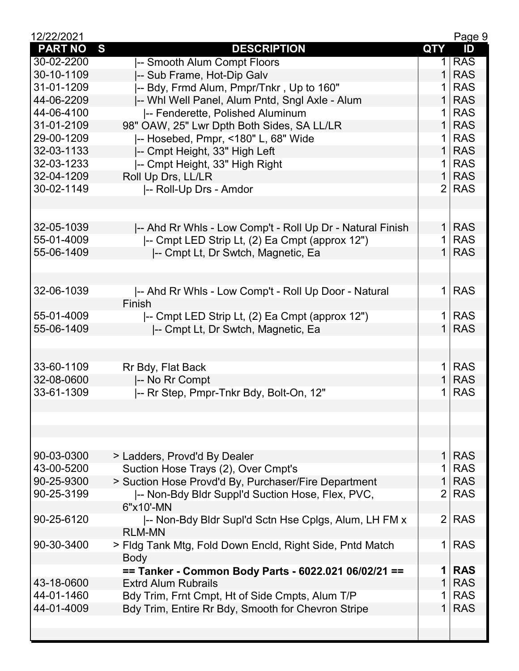| 12/22/2021     |                                                           |                | Page 9     |
|----------------|-----------------------------------------------------------|----------------|------------|
| <b>PART NO</b> | S<br><b>DESCRIPTION</b>                                   | <b>QTY</b>     | ID         |
| 30-02-2200     | -- Smooth Alum Compt Floors                               |                | $1$ RAS    |
| 30-10-1109     | -- Sub Frame, Hot-Dip Galv                                | 1 <sup>1</sup> | <b>RAS</b> |
| 31-01-1209     | -- Bdy, Frmd Alum, Pmpr/Tnkr, Up to 160"                  |                | $1$ RAS    |
| 44-06-2209     | -- Whi Well Panel, Alum Pntd, Sngl Axle - Alum            |                | $1$ RAS    |
| 44-06-4100     | -- Fenderette, Polished Aluminum                          |                | $1$ RAS    |
| 31-01-2109     | 98" OAW, 25" Lwr Dpth Both Sides, SA LL/LR                |                | $1$ RAS    |
| 29-00-1209     | -- Hosebed, Pmpr, <180" L, 68" Wide                       |                | $1$ RAS    |
| 32-03-1133     | -- Cmpt Height, 33" High Left                             |                | $1$ RAS    |
| 32-03-1233     | -- Cmpt Height, 33" High Right                            |                | $1$ RAS    |
| 32-04-1209     | Roll Up Drs, LL/LR                                        |                | $1$ RAS    |
| 30-02-1149     | -- Roll-Up Drs - Amdor                                    |                | $2$ RAS    |
|                |                                                           |                |            |
|                |                                                           |                |            |
| 32-05-1039     | -- Ahd Rr Whls - Low Comp't - Roll Up Dr - Natural Finish |                | $1$ RAS    |
| 55-01-4009     | -- Cmpt LED Strip Lt, (2) Ea Cmpt (approx 12")            |                | $1$ RAS    |
| 55-06-1409     | -- Cmpt Lt, Dr Swtch, Magnetic, Ea                        |                | $1$ RAS    |
|                |                                                           |                |            |
|                |                                                           |                |            |
| 32-06-1039     | -- Ahd Rr Whls - Low Comp't - Roll Up Door - Natural      |                | $1$ RAS    |
|                | Finish                                                    |                |            |
| 55-01-4009     | -- Cmpt LED Strip Lt, (2) Ea Cmpt (approx 12")            |                | $1$ RAS    |
| 55-06-1409     | -- Cmpt Lt, Dr Swtch, Magnetic, Ea                        |                | $1$ RAS    |
|                |                                                           |                |            |
|                |                                                           |                |            |
| 33-60-1109     | Rr Bdy, Flat Back                                         |                | $1$ RAS    |
| 32-08-0600     | -- No Rr Compt                                            |                | $1$ RAS    |
| 33-61-1309     | -- Rr Step, Pmpr-Tnkr Bdy, Bolt-On, 12"                   |                | $1$ RAS    |
|                |                                                           |                |            |
|                |                                                           |                |            |
|                |                                                           |                |            |
|                |                                                           |                |            |
| 90-03-0300     | > Ladders, Provd'd By Dealer                              |                | $1$ RAS    |
| 43-00-5200     | Suction Hose Trays (2), Over Cmpt's                       |                | $1$ RAS    |
| 90-25-9300     | > Suction Hose Provd'd By, Purchaser/Fire Department      |                | $1$ RAS    |
| 90-25-3199     | -- Non-Bdy Bldr Suppl'd Suction Hose, Flex, PVC,          |                | $2$ RAS    |
|                | 6"x10'-MN                                                 |                |            |
| 90-25-6120     | -- Non-Bdy Bldr Supl'd Sctn Hse Cplgs, Alum, LH FM x      |                | 2 RAS      |
|                | <b>RLM-MN</b>                                             |                |            |
| 90-30-3400     | > Fldg Tank Mtg, Fold Down Encld, Right Side, Pntd Match  |                | 1 RAS      |
|                | <b>Body</b>                                               |                |            |
|                | == Tanker - Common Body Parts - 6022.021 06/02/21 ==      |                | $1$ RAS    |
| 43-18-0600     | <b>Extrd Alum Rubrails</b>                                |                | $1$ RAS    |
| 44-01-1460     | Bdy Trim, Frnt Cmpt, Ht of Side Cmpts, Alum T/P           |                | $1$ RAS    |
| 44-01-4009     | Bdy Trim, Entire Rr Bdy, Smooth for Chevron Stripe        |                | $1$ RAS    |
|                |                                                           |                |            |
|                |                                                           |                |            |